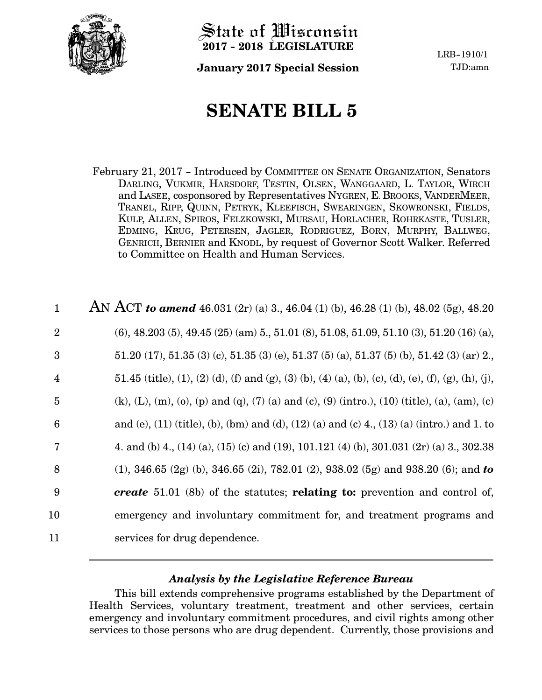

State of *Wisconsin* **2017 - 2018 LEGISLATURE**

**January 2017 Special Session** TJD:amn

LRB-1910/1

# **SENATE BILL 5**

February 21, 2017 - Introduced by COMMITTEE ON SENATE ORGANIZATION, Senators DARLING, VUKMIR, HARSDORF, TESTIN, OLSEN, WANGGAARD, L. TAYLOR, WIRCH and LASEE, cosponsored by Representatives NYGREN, E. BROOKS, VANDERMEER, TRANEL, RIPP, QUINN, PETRYK, KLEEFISCH, SWEARINGEN, SKOWRONSKI, FIELDS, KULP, ALLEN, SPIROS, FELZKOWSKI, MURSAU, HORLACHER, ROHRKASTE, TUSLER, EDMING, KRUG, PETERSEN, JAGLER, RODRIGUEZ, BORN, MURPHY, BALLWEG, GENRICH, BERNIER and KNODL, by request of Governor Scott Walker. Referred to Committee on Health and Human Services.

| $\mathbf{1}$   | AN ACT to amend 46.031 (2r) (a) 3., 46.04 (1) (b), 46.28 (1) (b), 48.02 (5g), 48.20                           |
|----------------|---------------------------------------------------------------------------------------------------------------|
| $\overline{2}$ | $(6)$ , 48.203 $(5)$ , 49.45 $(25)$ $(am)$ 5., 51.01 $(8)$ , 51.08, 51.09, 51.10 $(3)$ , 51.20 $(16)$ $(a)$ , |
| 3              | $51.20$ (17), $51.35$ (3) (c), $51.35$ (3) (e), $51.37$ (5) (a), $51.37$ (5) (b), $51.42$ (3) (ar) 2.         |
| $\overline{4}$ | 51.45 (title), (1), (2) (d), (f) and (g), (3) (b), (4) (a), (b), (c), (d), (e), (f), (g), (h), (j),           |
| $\overline{5}$ | (k), (L), (m), (o), (p) and (q), (7) (a) and (c), (9) (intro.), (10) (title), (a), (am), (c)                  |
| 6              | and (e), (11) (title), (b), (bm) and (d), (12) (a) and (c) 4., (13) (a) (intro.) and 1. to                    |
| 7              | 4. and (b) 4., (14) (a), (15) (c) and (19), 101.121 (4) (b), 301.031 (2r) (a) 3., 302.38                      |
| 8              | $(1)$ , 346.65 $(2g)$ (b), 346.65 $(2i)$ , 782.01 $(2)$ , 938.02 $(5g)$ and 938.20 $(6)$ ; and to             |
| 9              | <b>create</b> 51.01 (8b) of the statutes; <b>relating to:</b> prevention and control of,                      |
| 10             | emergency and involuntary commitment for, and treatment programs and                                          |
| 11             | services for drug dependence.                                                                                 |

## *Analysis by the Legislative Reference Bureau*

This bill extends comprehensive programs established by the Department of Health Services, voluntary treatment, treatment and other services, certain emergency and involuntary commitment procedures, and civil rights among other services to those persons who are drug dependent. Currently, those provisions and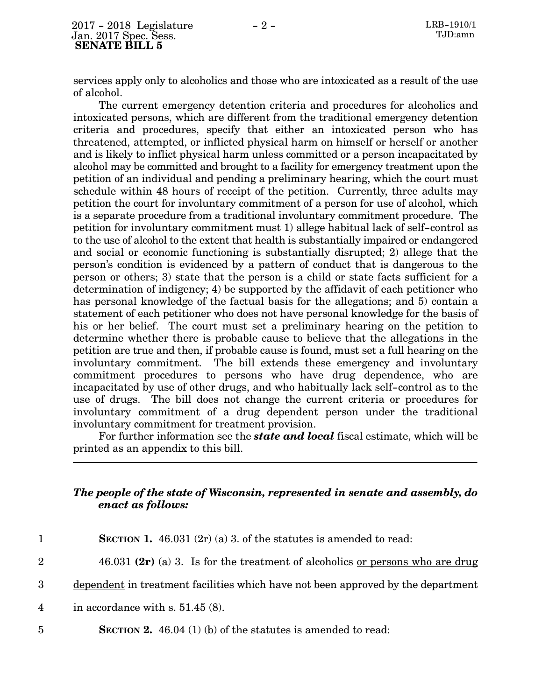services apply only to alcoholics and those who are intoxicated as a result of the use of alcohol.

The current emergency detention criteria and procedures for alcoholics and intoxicated persons, which are different from the traditional emergency detention criteria and procedures, specify that either an intoxicated person who has threatened, attempted, or inflicted physical harm on himself or herself or another and is likely to inflict physical harm unless committed or a person incapacitated by alcohol may be committed and brought to a facility for emergency treatment upon the petition of an individual and pending a preliminary hearing, which the court must schedule within 48 hours of receipt of the petition. Currently, three adults may petition the court for involuntary commitment of a person for use of alcohol, which is a separate procedure from a traditional involuntary commitment procedure. The petition for involuntary commitment must 1) allege habitual lack of self-control as to the use of alcohol to the extent that health is substantially impaired or endangered and social or economic functioning is substantially disrupted; 2) allege that the person's condition is evidenced by a pattern of conduct that is dangerous to the person or others; 3) state that the person is a child or state facts sufficient for a determination of indigency; 4) be supported by the affidavit of each petitioner who has personal knowledge of the factual basis for the allegations; and 5) contain a statement of each petitioner who does not have personal knowledge for the basis of his or her belief. The court must set a preliminary hearing on the petition to determine whether there is probable cause to believe that the allegations in the petition are true and then, if probable cause is found, must set a full hearing on the involuntary commitment. The bill extends these emergency and involuntary commitment procedures to persons who have drug dependence, who are incapacitated by use of other drugs, and who habitually lack self-control as to the use of drugs. The bill does not change the current criteria or procedures for involuntary commitment of a drug dependent person under the traditional involuntary commitment for treatment provision.

For further information see the *state and local* fiscal estimate, which will be printed as an appendix to this bill.

## *The people of the state of Wisconsin, represented in senate and assembly, do enact as follows:*

| $\mathbf 1$    | <b>SECTION 1.</b> 46.031 $(2r)$ (a) 3. of the statutes is amended to read:             |
|----------------|----------------------------------------------------------------------------------------|
| $\overline{2}$ | 46.031 $(2r)$ (a) 3. Is for the treatment of alcoholics <u>or persons who are drug</u> |
| 3              | dependent in treatment facilities which have not been approved by the department       |
| $\overline{4}$ | in accordance with s. $51.45(8)$ .                                                     |
| $\overline{5}$ | <b>SECTION 2.</b> 46.04 (1) (b) of the statutes is amended to read:                    |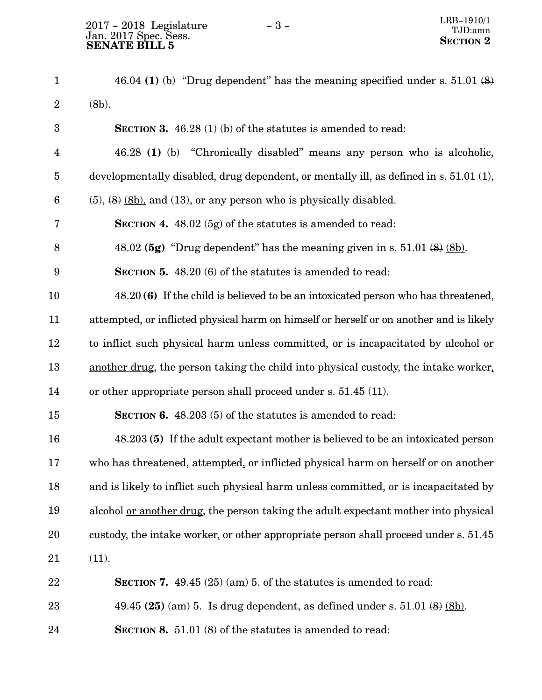| $\mathbf{1}$     | 46.04 (1) (b) "Drug dependent" has the meaning specified under s. $51.01$ (8)               |
|------------------|---------------------------------------------------------------------------------------------|
| $\boldsymbol{2}$ | $(8b)$ .                                                                                    |
| 3                | SECTION 3. 46.28 (1) (b) of the statutes is amended to read:                                |
| $\overline{4}$   | 46.28 (1) (b) "Chronically disabled" means any person who is alcoholic,                     |
| $\overline{5}$   | developmentally disabled, drug dependent, or mentally ill, as defined in s. 51.01 (1),      |
| $6\phantom{.}6$  | $(5)$ , $(8)$ $(8b)$ , and $(13)$ , or any person who is physically disabled.               |
| 7                | <b>SECTION 4.</b> 48.02 (5g) of the statutes is amended to read:                            |
| 8                | 48.02 (5g) "Drug dependent" has the meaning given in s. $51.01$ (8) (8b).                   |
| 9                | <b>SECTION 5.</b> 48.20 (6) of the statutes is amended to read:                             |
| 10               | 48.20(6) If the child is believed to be an intoxicated person who has threatened,           |
| 11               | attempted, or inflicted physical harm on himself or herself or on another and is likely     |
| 12               | to inflict such physical harm unless committed, or is incapacitated by alcohol or           |
| 13               | another drug, the person taking the child into physical custody, the intake worker.         |
| 14               | or other appropriate person shall proceed under s. 51.45 (11).                              |
| 15               | <b>SECTION 6.</b> 48.203 (5) of the statutes is amended to read:                            |
| 16               | 48.203 (5) If the adult expectant mother is believed to be an intoxicated person            |
| 17               | who has threatened, attempted, or inflicted physical harm on herself or on another          |
| 18               | and is likely to inflict such physical harm unless committed, or is incapacitated by        |
| 19               | alcohol <u>or another drug</u> , the person taking the adult expectant mother into physical |
| 20               | custody, the intake worker, or other appropriate person shall proceed under s. 51.45        |
| 21               | (11).                                                                                       |
| 22               | SECTION 7. $49.45(25)(am)5$ . of the statutes is amended to read:                           |
| 23               | 49.45 (25) (am) 5. Is drug dependent, as defined under s. $51.01$ (8) (8b).                 |
| 24               | SECTION 8. 51.01 (8) of the statutes is amended to read:                                    |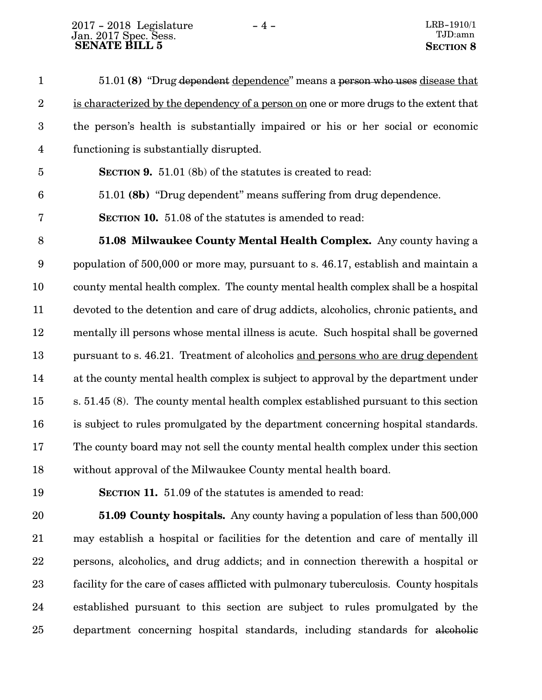|             | 51.01 (8) "Drug dependent dependence" means a person who uses disease that             |
|-------------|----------------------------------------------------------------------------------------|
| $2^{\circ}$ | is characterized by the dependency of a person on one or more drugs to the extent that |
|             | the person's health is substantially impaired or his or her social or economic         |
| 4           | functioning is substantially disrupted.                                                |

**SECTION 9.** 51.01 (8b) of the statutes is created to read: 5

51.01 **(8b)** "Drug dependent" means suffering from drug dependence. 6

**SECTION 10.** 51.08 of the statutes is amended to read: 7

**51.08 Milwaukee County Mental Health Complex.** Any county having a population of 500,000 or more may, pursuant to s. 46.17, establish and maintain a county mental health complex. The county mental health complex shall be a hospital devoted to the detention and care of drug addicts, alcoholics, chronic patients, and mentally ill persons whose mental illness is acute. Such hospital shall be governed pursuant to s. 46.21. Treatment of alcoholics and persons who are drug dependent at the county mental health complex is subject to approval by the department under s. 51.45 (8). The county mental health complex established pursuant to this section is subject to rules promulgated by the department concerning hospital standards. The county board may not sell the county mental health complex under this section without approval of the Milwaukee County mental health board. 8 9 10 11 12 13 14 15 16 17 18

19

**SECTION 11.** 51.09 of the statutes is amended to read:

**51.09 County hospitals.** Any county having a population of less than 500,000 may establish a hospital or facilities for the detention and care of mentally ill persons, alcoholics, and drug addicts; and in connection therewith a hospital or facility for the care of cases afflicted with pulmonary tuberculosis. County hospitals established pursuant to this section are subject to rules promulgated by the department concerning hospital standards, including standards for alcoholic 20 21 22 23 24 25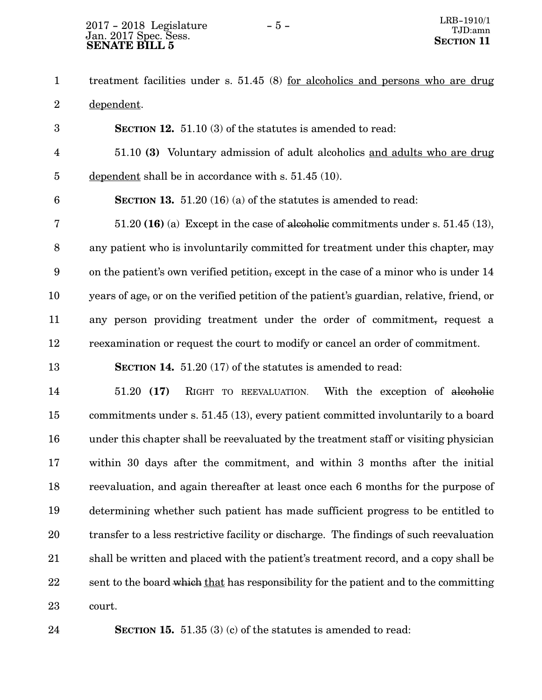## Jan. 2017 Spec. Sess.  $2017 - 2018$  Legislature  $-5 -$  LRB-1910/1  **SENATE BILL 5**

treatment facilities under s. 51.45 (8) for alcoholics and persons who are drug dependent. 1 2

**SECTION** 12. 51.10 (3) of the statutes is amended to read: 51.10 **(3)** Voluntary admission of adult alcoholics and adults who are drug dependent shall be in accordance with s. 51.45 (10). **SECTION 13.** 51.20 (16) (a) of the statutes is amended to read: 51.20 **(16)** (a) Except in the case of alcoholic commitments under s. 51.45 (13), any patient who is involuntarily committed for treatment under this chapter, may on the patient's own verified petition, except in the case of a minor who is under 14 years of age, or on the verified petition of the patient's guardian, relative, friend, or any person providing treatment under the order of commitment, request a reexamination or request the court to modify or cancel an order of commitment. **SECTION 14.** 51.20 (17) of the statutes is amended to read: 51.20 **(17)** RIGHT TO REEVALUATION. With the exception of alcoholic commitments under s. 51.45 (13), every patient committed involuntarily to a board under this chapter shall be reevaluated by the treatment staff or visiting physician within 30 days after the commitment, and within 3 months after the initial 3 4 5 6 7 8 9 10 11 12 13 14 15 16 17

reevaluation, and again thereafter at least once each 6 months for the purpose of determining whether such patient has made sufficient progress to be entitled to transfer to a less restrictive facility or discharge. The findings of such reevaluation shall be written and placed with the patient's treatment record, and a copy shall be sent to the board which that has responsibility for the patient and to the committing court. 18 19 20 21 22 23

**SECTION 15.** 51.35 (3) (c) of the statutes is amended to read:

24

#### - 5 -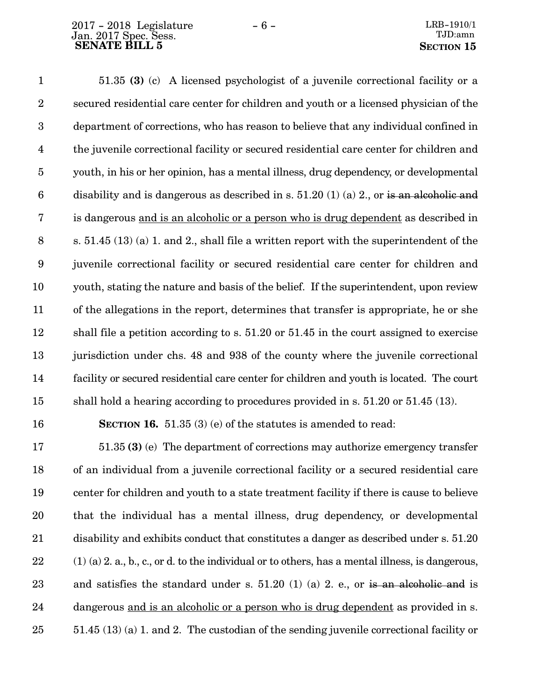16

51.35 **(3)** (c) A licensed psychologist of a juvenile correctional facility or a secured residential care center for children and youth or a licensed physician of the department of corrections, who has reason to believe that any individual confined in the juvenile correctional facility or secured residential care center for children and youth, in his or her opinion, has a mental illness, drug dependency, or developmental disability and is dangerous as described in s.  $51.20(1)(a)$  2., or is an alcoholic and is dangerous and is an alcoholic or a person who is drug dependent as described in s. 51.45 (13) (a) 1. and 2., shall file a written report with the superintendent of the juvenile correctional facility or secured residential care center for children and youth, stating the nature and basis of the belief. If the superintendent, upon review of the allegations in the report, determines that transfer is appropriate, he or she shall file a petition according to s. 51.20 or 51.45 in the court assigned to exercise jurisdiction under chs. 48 and 938 of the county where the juvenile correctional facility or secured residential care center for children and youth is located. The court shall hold a hearing according to procedures provided in s. 51.20 or 51.45 (13). 1 2 3 4 5 6 7 8 9 10 11 12 13 14 15

**SECTION 16.** 51.35 (3) (e) of the statutes is amended to read:

51.35 **(3)** (e) The department of corrections may authorize emergency transfer of an individual from a juvenile correctional facility or a secured residential care center for children and youth to a state treatment facility if there is cause to believe that the individual has a mental illness, drug dependency, or developmental disability and exhibits conduct that constitutes a danger as described under s. 51.20 (1) (a) 2. a., b., c., or d. to the individual or to others, has a mental illness, is dangerous, and satisfies the standard under s.  $51.20$  (1) (a) 2. e., or is an alcoholic and is dangerous and is an alcoholic or a person who is drug dependent as provided in s. 51.45 (13) (a) 1. and 2. The custodian of the sending juvenile correctional facility or 17 18 19 20 21 22 23 24 25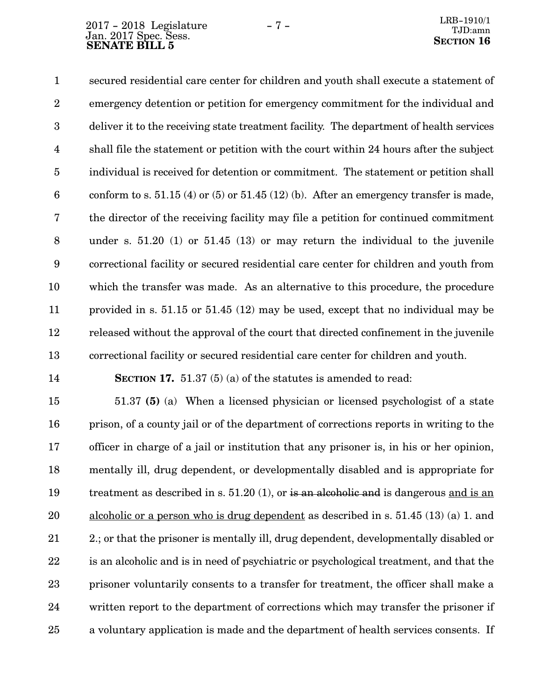## Jan. 2017 Spec. Sess.  $2017 - 2018$  Legislature  $-7 -$  LRB-1910/1 **SENATE BILL 5**<br>**SENATE BILL 5**

secured residential care center for children and youth shall execute a statement of emergency detention or petition for emergency commitment for the individual and deliver it to the receiving state treatment facility. The department of health services shall file the statement or petition with the court within 24 hours after the subject individual is received for detention or commitment. The statement or petition shall conform to s.  $51.15(4)$  or  $(5)$  or  $51.45(12)(b)$ . After an emergency transfer is made, the director of the receiving facility may file a petition for continued commitment under s. 51.20 (1) or 51.45 (13) or may return the individual to the juvenile correctional facility or secured residential care center for children and youth from which the transfer was made. As an alternative to this procedure, the procedure provided in s. 51.15 or 51.45 (12) may be used, except that no individual may be released without the approval of the court that directed confinement in the juvenile correctional facility or secured residential care center for children and youth. 1 2 3 4 5 6 7 8 9 10 11 12 13

14

**SECTION 17.** 51.37 (5) (a) of the statutes is amended to read:

51.37 **(5)** (a) When a licensed physician or licensed psychologist of a state prison, of a county jail or of the department of corrections reports in writing to the officer in charge of a jail or institution that any prisoner is, in his or her opinion, mentally ill, drug dependent, or developmentally disabled and is appropriate for treatment as described in s. 51.20 (1), or is an alcoholic and is dangerous and is an alcoholic or a person who is drug dependent as described in s. 51.45 (13) (a) 1. and 2.; or that the prisoner is mentally ill, drug dependent, developmentally disabled or is an alcoholic and is in need of psychiatric or psychological treatment, and that the prisoner voluntarily consents to a transfer for treatment, the officer shall make a written report to the department of corrections which may transfer the prisoner if a voluntary application is made and the department of health services consents. If 15 16 17 18 19 20 21 22 23 24 25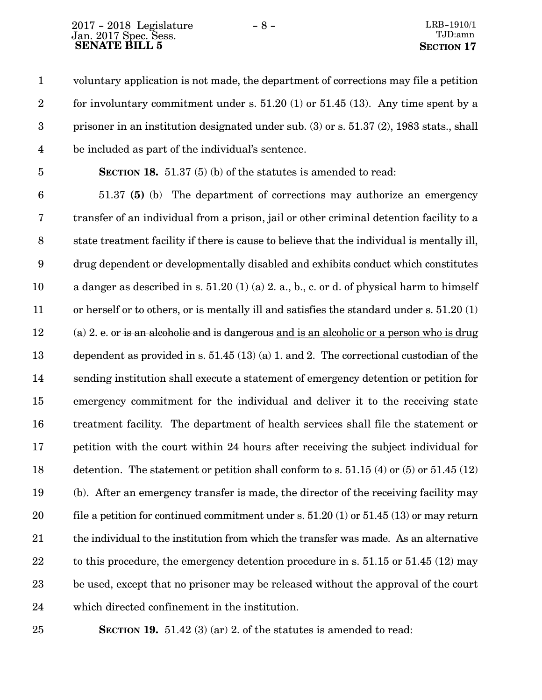voluntary application is not made, the department of corrections may file a petition for involuntary commitment under s.  $51.20$  (1) or  $51.45$  (13). Any time spent by a prisoner in an institution designated under sub. (3) or s. 51.37 (2), 1983 stats., shall be included as part of the individual's sentence. 1 2 3 4

5

**SECTION 18.** 51.37 (5) (b) of the statutes is amended to read:

51.37 **(5)** (b) The department of corrections may authorize an emergency transfer of an individual from a prison, jail or other criminal detention facility to a state treatment facility if there is cause to believe that the individual is mentally ill, drug dependent or developmentally disabled and exhibits conduct which constitutes a danger as described in s.  $51.20(1)(a)$  2. a., b., c. or d. of physical harm to himself or herself or to others, or is mentally ill and satisfies the standard under s. 51.20 (1) (a) 2. e. or is an alcoholic and is dangerous and is an alcoholic or a person who is drug dependent as provided in s. 51.45 (13) (a) 1. and 2. The correctional custodian of the sending institution shall execute a statement of emergency detention or petition for emergency commitment for the individual and deliver it to the receiving state treatment facility. The department of health services shall file the statement or petition with the court within 24 hours after receiving the subject individual for detention. The statement or petition shall conform to s.  $51.15(4)$  or  $(5)$  or  $51.45(12)$ (b). After an emergency transfer is made, the director of the receiving facility may file a petition for continued commitment under s. 51.20 (1) or 51.45 (13) or may return the individual to the institution from which the transfer was made. As an alternative to this procedure, the emergency detention procedure in s. 51.15 or 51.45 (12) may be used, except that no prisoner may be released without the approval of the court which directed confinement in the institution. 6 7 8 9 10 11 12 13 14 15 16 17 18 19 20 21 22 23 24

25

**SECTION 19.** 51.42 (3) (ar) 2. of the statutes is amended to read: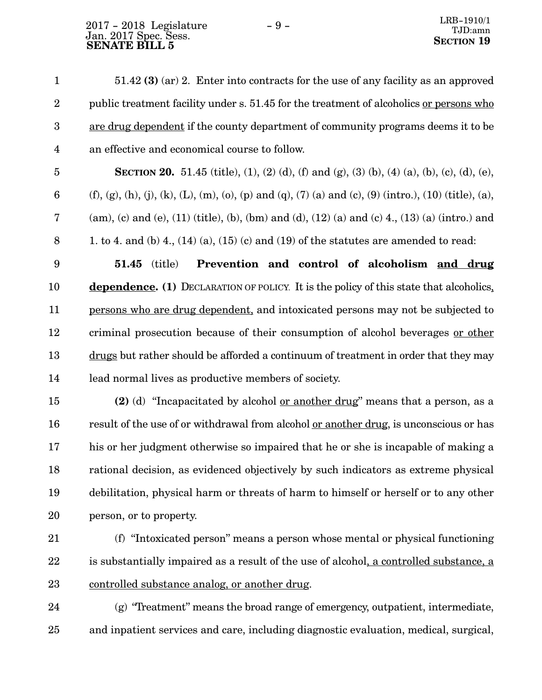## Jan. 2017 Spec. Sess.  $2017 - 2018$  Legislature  $-9 -$ **SENATE BILL 5**<br>**SENATE BILL 5**

|                | $51.42$ (3) (ar) 2. Enter into contracts for the use of any facility as an approved     |
|----------------|-----------------------------------------------------------------------------------------|
| 2              | public treatment facility under s. 51.45 for the treatment of alcoholics or persons who |
| 3 <sup>1</sup> | are drug dependent if the county department of community programs deems it to be        |
| $\overline{4}$ | an effective and economical course to follow.                                           |

**SECTION 20.** 51.45 (title), (1), (2) (d), (f) and (g), (3) (b), (4) (a), (b), (c), (d), (e), (f), (g), (h), (j), (k), (L), (m), (o), (p) and (q), (7) (a) and (c), (9) (intro.), (10) (title), (a),  $(\text{am})$ , (c) and (e), (11) (title), (b), (bm) and (d), (12) (a) and (c) 4., (13) (a) (intro.) and 1. to 4. and (b) 4.,  $(14)$  (a),  $(15)$  (c) and  $(19)$  of the statutes are amended to read: 5 6 7 8

**51.45** (title) **Prevention and control of alcoholism and drug dependence. (1)** DECLARATION OF POLICY. It is the policy of this state that alcoholics, persons who are drug dependent, and intoxicated persons may not be subjected to criminal prosecution because of their consumption of alcohol beverages or other drugs but rather should be afforded a continuum of treatment in order that they may lead normal lives as productive members of society. 9 10 11 12 13 14

**(2)** (d) "Incapacitated by alcohol or another drug" means that a person, as a result of the use of or withdrawal from alcohol or another drug, is unconscious or has his or her judgment otherwise so impaired that he or she is incapable of making a rational decision, as evidenced objectively by such indicators as extreme physical debilitation, physical harm or threats of harm to himself or herself or to any other person, or to property. 15 16 17 18 19 20

21

(f) "Intoxicated person" means a person whose mental or physical functioning is substantially impaired as a result of the use of alcohol, a controlled substance, a controlled substance analog, or another drug. 22 23

 $(g)$  "Treatment" means the broad range of emergency, outpatient, intermediate, and inpatient services and care, including diagnostic evaluation, medical, surgical, 24 25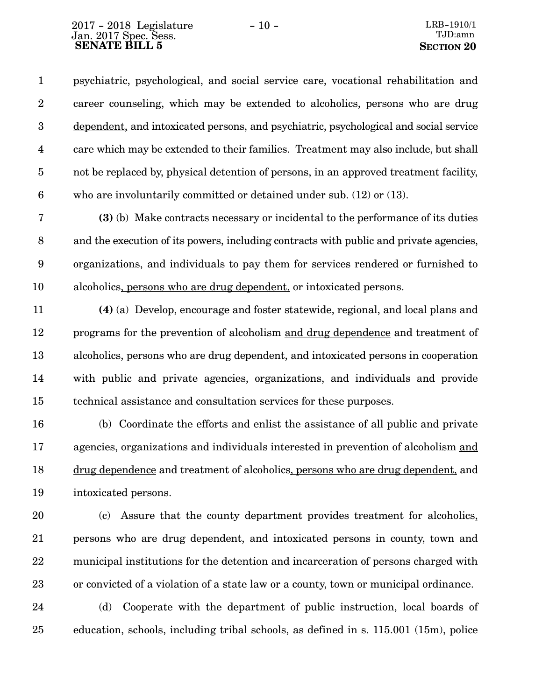psychiatric, psychological, and social service care, vocational rehabilitation and career counseling, which may be extended to alcoholics, persons who are drug dependent, and intoxicated persons, and psychiatric, psychological and social service care which may be extended to their families. Treatment may also include, but shall not be replaced by, physical detention of persons, in an approved treatment facility, who are involuntarily committed or detained under sub. (12) or (13). 1 2 3 4 5 6

**(3)** (b) Make contracts necessary or incidental to the performance of its duties and the execution of its powers, including contracts with public and private agencies, organizations, and individuals to pay them for services rendered or furnished to alcoholics, persons who are drug dependent, or intoxicated persons. 7 8 9 10

**(4)** (a) Develop, encourage and foster statewide, regional, and local plans and programs for the prevention of alcoholism and drug dependence and treatment of alcoholics, persons who are drug dependent, and intoxicated persons in cooperation with public and private agencies, organizations, and individuals and provide technical assistance and consultation services for these purposes. 11 12 13 14 15

(b) Coordinate the efforts and enlist the assistance of all public and private agencies, organizations and individuals interested in prevention of alcoholism and drug dependence and treatment of alcoholics, persons who are drug dependent, and intoxicated persons. 16 17 18 19

(c) Assure that the county department provides treatment for alcoholics, persons who are drug dependent, and intoxicated persons in county, town and municipal institutions for the detention and incarceration of persons charged with or convicted of a violation of a state law or a county, town or municipal ordinance. 20 21 22 23

(d) Cooperate with the department of public instruction, local boards of education, schools, including tribal schools, as defined in s. 115.001 (15m), police 24 25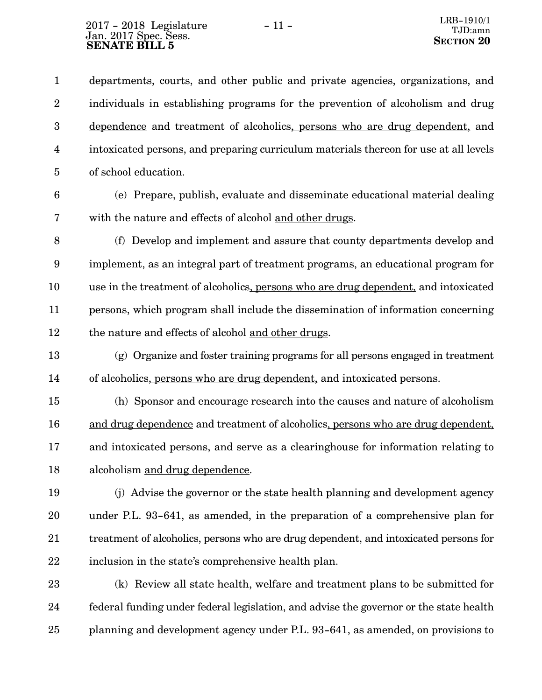departments, courts, and other public and private agencies, organizations, and individuals in establishing programs for the prevention of alcoholism and drug dependence and treatment of alcoholics, persons who are drug dependent, and intoxicated persons, and preparing curriculum materials thereon for use at all levels of school education. 1 2 3 4 5

6

(e) Prepare, publish, evaluate and disseminate educational material dealing with the nature and effects of alcohol and other drugs. 7

8

(f) Develop and implement and assure that county departments develop and implement, as an integral part of treatment programs, an educational program for use in the treatment of alcoholics, persons who are drug dependent, and intoxicated persons, which program shall include the dissemination of information concerning the nature and effects of alcohol and other drugs. 9 10 11 12

(g) Organize and foster training programs for all persons engaged in treatment of alcoholics, persons who are drug dependent, and intoxicated persons. 13 14

(h) Sponsor and encourage research into the causes and nature of alcoholism and drug dependence and treatment of alcoholics, persons who are drug dependent, and intoxicated persons, and serve as a clearinghouse for information relating to alcoholism and drug dependence. 15 16 17 18

(j) Advise the governor or the state health planning and development agency under P.L. 93-641, as amended, in the preparation of a comprehensive plan for treatment of alcoholics, persons who are drug dependent, and intoxicated persons for inclusion in the state's comprehensive health plan. 19 20 21 22

(k) Review all state health, welfare and treatment plans to be submitted for federal funding under federal legislation, and advise the governor or the state health planning and development agency under P.L. 93-641, as amended, on provisions to 23 24 25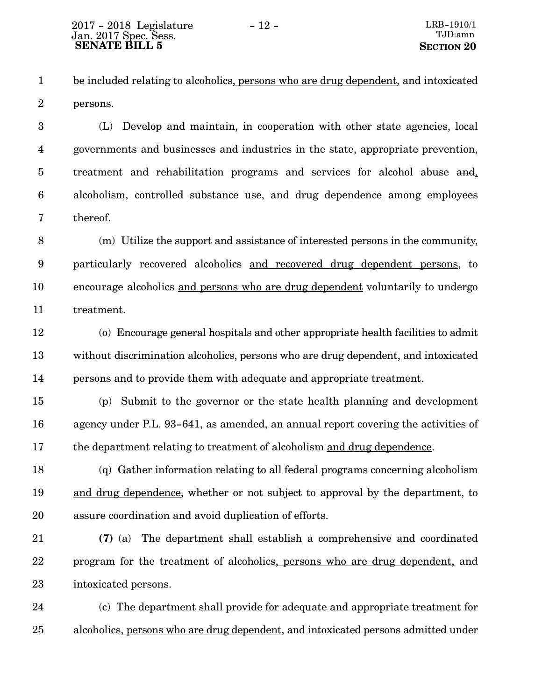be included relating to alcoholics, persons who are drug dependent, and intoxicated persons. 1 2

(L) Develop and maintain, in cooperation with other state agencies, local governments and businesses and industries in the state, appropriate prevention, treatment and rehabilitation programs and services for alcohol abuse and, alcoholism, controlled substance use, and drug dependence among employees thereof. 3 4 5 6 7

(m) Utilize the support and assistance of interested persons in the community, particularly recovered alcoholics and recovered drug dependent persons, to encourage alcoholics and persons who are drug dependent voluntarily to undergo treatment. 8 9 10 11

(o) Encourage general hospitals and other appropriate health facilities to admit without discrimination alcoholics, persons who are drug dependent, and intoxicated persons and to provide them with adequate and appropriate treatment. 12 13 14

(p) Submit to the governor or the state health planning and development agency under P.L. 93-641, as amended, an annual report covering the activities of the department relating to treatment of alcoholism and drug dependence. 15 16 17

(q) Gather information relating to all federal programs concerning alcoholism and drug dependence, whether or not subject to approval by the department, to assure coordination and avoid duplication of efforts. 18 19 20

**(7)** (a) The department shall establish a comprehensive and coordinated program for the treatment of alcoholics, persons who are drug dependent, and intoxicated persons. 21 22 23

(c) The department shall provide for adequate and appropriate treatment for alcoholics, persons who are drug dependent, and intoxicated persons admitted under 24 25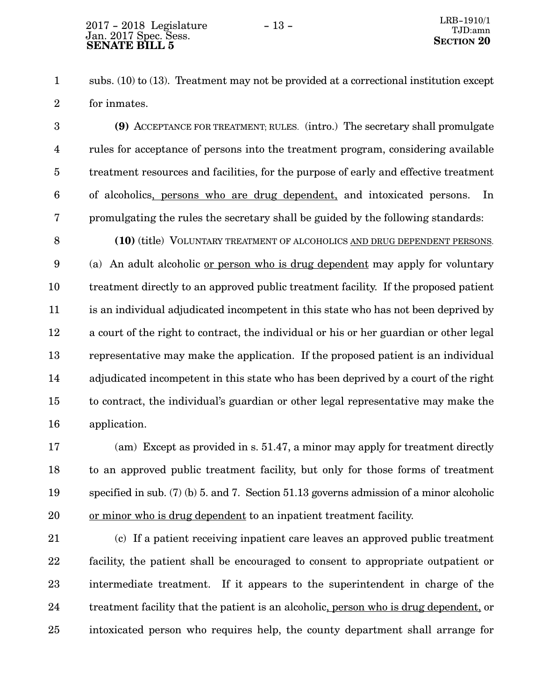subs. (10) to (13). Treatment may not be provided at a correctional institution except for inmates. 1 2

**(9)** ACCEPTANCE FOR TREATMENT; RULES. (intro.) The secretary shall promulgate rules for acceptance of persons into the treatment program, considering available treatment resources and facilities, for the purpose of early and effective treatment of alcoholics, persons who are drug dependent, and intoxicated persons. In promulgating the rules the secretary shall be guided by the following standards: 3 4 5 6 7

**(10)** (title) VOLUNTARY TREATMENT OF ALCOHOLICS AND DRUG DEPENDENT PERSONS. (a) An adult alcoholic or person who is drug dependent may apply for voluntary treatment directly to an approved public treatment facility. If the proposed patient is an individual adjudicated incompetent in this state who has not been deprived by a court of the right to contract, the individual or his or her guardian or other legal representative may make the application. If the proposed patient is an individual adjudicated incompetent in this state who has been deprived by a court of the right to contract, the individual's guardian or other legal representative may make the application. 8 9 10 11 12 13 14 15 16

(am) Except as provided in s. 51.47, a minor may apply for treatment directly to an approved public treatment facility, but only for those forms of treatment specified in sub. (7) (b) 5. and 7. Section 51.13 governs admission of a minor alcoholic or minor who is drug dependent to an inpatient treatment facility. 17 18 19 20

(c) If a patient receiving inpatient care leaves an approved public treatment facility, the patient shall be encouraged to consent to appropriate outpatient or intermediate treatment. If it appears to the superintendent in charge of the treatment facility that the patient is an alcoholic, person who is drug dependent, or intoxicated person who requires help, the county department shall arrange for 21 22 23 24 25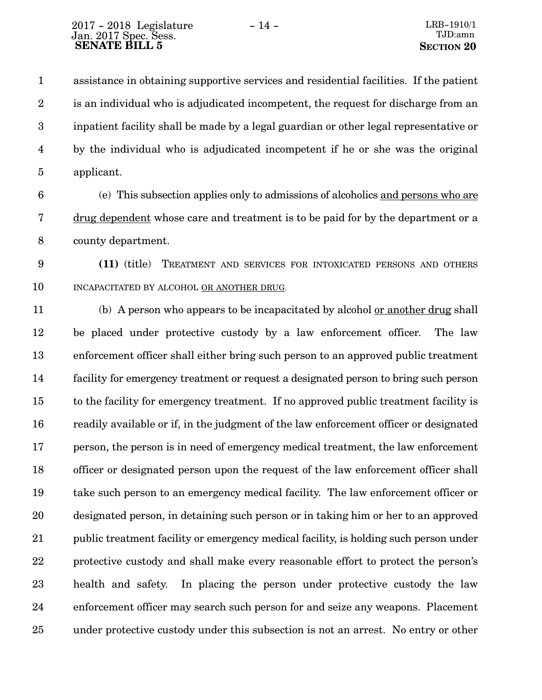assistance in obtaining supportive services and residential facilities. If the patient is an individual who is adjudicated incompetent, the request for discharge from an inpatient facility shall be made by a legal guardian or other legal representative or by the individual who is adjudicated incompetent if he or she was the original applicant. 1 2 3 4 5

- (e) This subsection applies only to admissions of alcoholics and persons who are drug dependent whose care and treatment is to be paid for by the department or a county department. 6 7 8
- **(11)** (title) TREATMENT AND SERVICES FOR INTOXICATED PERSONS AND OTHERS INCAPACITATED BY ALCOHOL OR ANOTHER DRUG. 9 10

(b) A person who appears to be incapacitated by alcohol or another drug shall be placed under protective custody by a law enforcement officer. The law enforcement officer shall either bring such person to an approved public treatment facility for emergency treatment or request a designated person to bring such person to the facility for emergency treatment. If no approved public treatment facility is readily available or if, in the judgment of the law enforcement officer or designated person, the person is in need of emergency medical treatment, the law enforcement officer or designated person upon the request of the law enforcement officer shall take such person to an emergency medical facility. The law enforcement officer or designated person, in detaining such person or in taking him or her to an approved public treatment facility or emergency medical facility, is holding such person under protective custody and shall make every reasonable effort to protect the person's health and safety. In placing the person under protective custody the law enforcement officer may search such person for and seize any weapons. Placement under protective custody under this subsection is not an arrest. No entry or other 11 12 13 14 15 16 17 18 19 20 21 22 23 24 25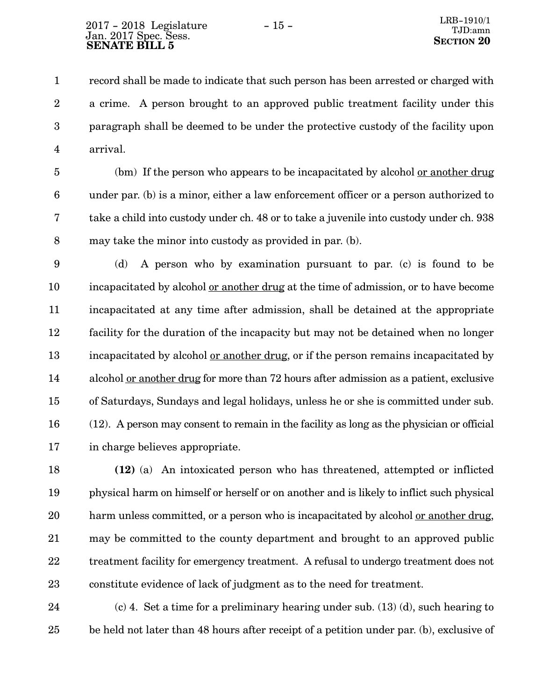record shall be made to indicate that such person has been arrested or charged with a crime. A person brought to an approved public treatment facility under this paragraph shall be deemed to be under the protective custody of the facility upon arrival. 1 2 3 4

(bm) If the person who appears to be incapacitated by alcohol or another drug under par. (b) is a minor, either a law enforcement officer or a person authorized to take a child into custody under ch. 48 or to take a juvenile into custody under ch. 938 may take the minor into custody as provided in par. (b). 5 6 7 8

(d) A person who by examination pursuant to par. (c) is found to be incapacitated by alcohol or another drug at the time of admission, or to have become incapacitated at any time after admission, shall be detained at the appropriate facility for the duration of the incapacity but may not be detained when no longer incapacitated by alcohol or another drug, or if the person remains incapacitated by alcohol or another drug for more than 72 hours after admission as a patient, exclusive of Saturdays, Sundays and legal holidays, unless he or she is committed under sub. (12). A person may consent to remain in the facility as long as the physician or official in charge believes appropriate. 9 10 11 12 13 14 15 16 17

**(12)** (a) An intoxicated person who has threatened, attempted or inflicted physical harm on himself or herself or on another and is likely to inflict such physical harm unless committed, or a person who is incapacitated by alcohol or another drug, may be committed to the county department and brought to an approved public treatment facility for emergency treatment. A refusal to undergo treatment does not constitute evidence of lack of judgment as to the need for treatment. 18 19 20 21 22 23

(c) 4. Set a time for a preliminary hearing under sub. (13) (d), such hearing to be held not later than 48 hours after receipt of a petition under par. (b), exclusive of 24 25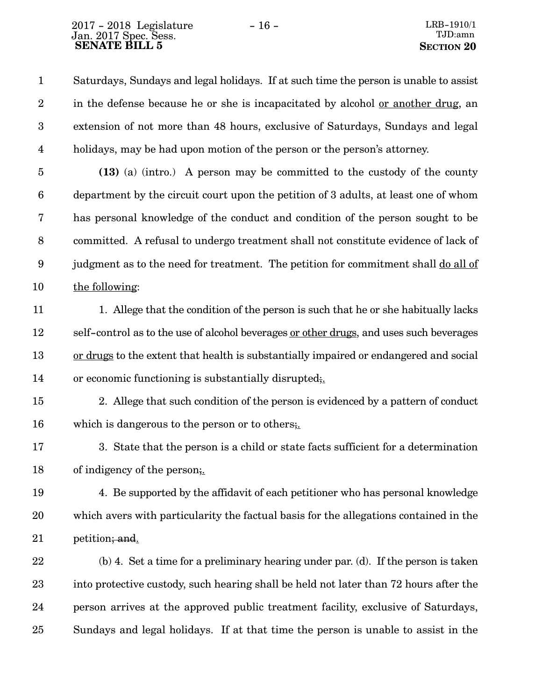Saturdays, Sundays and legal holidays. If at such time the person is unable to assist in the defense because he or she is incapacitated by alcohol or another drug, an extension of not more than 48 hours, exclusive of Saturdays, Sundays and legal holidays, may be had upon motion of the person or the person's attorney. 1 2 3 4

**(13)** (a) (intro.) A person may be committed to the custody of the county department by the circuit court upon the petition of 3 adults, at least one of whom has personal knowledge of the conduct and condition of the person sought to be committed. A refusal to undergo treatment shall not constitute evidence of lack of judgment as to the need for treatment. The petition for commitment shall do all of the following: 5 6 7 8 9 10

1. Allege that the condition of the person is such that he or she habitually lacks self-control as to the use of alcohol beverages or other drugs, and uses such beverages or drugs to the extent that health is substantially impaired or endangered and social or economic functioning is substantially disrupted;. 11 12 13 14

2. Allege that such condition of the person is evidenced by a pattern of conduct which is dangerous to the person or to others; 15 16

3. State that the person is a child or state facts sufficient for a determination of indigency of the person;. 17 18

4. Be supported by the affidavit of each petitioner who has personal knowledge which avers with particularity the factual basis for the allegations contained in the petition; and. 19 20 21

(b) 4. Set a time for a preliminary hearing under par. (d). If the person is taken into protective custody, such hearing shall be held not later than 72 hours after the person arrives at the approved public treatment facility, exclusive of Saturdays, Sundays and legal holidays. If at that time the person is unable to assist in the 22 23 24 25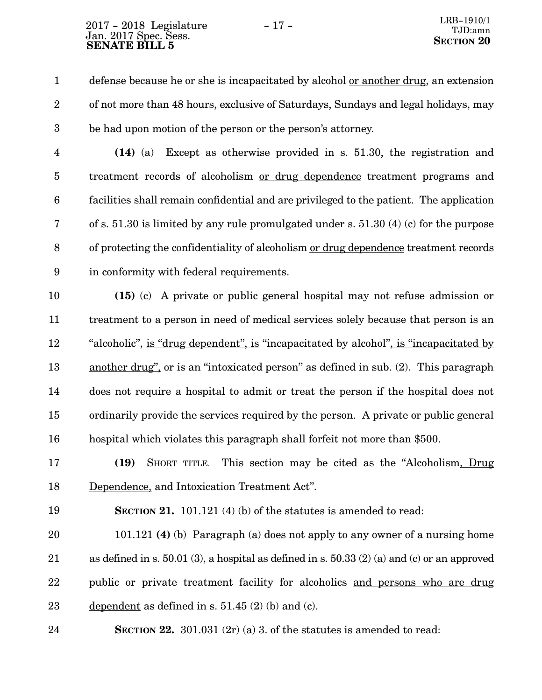defense because he or she is incapacitated by alcohol or another drug, an extension of not more than 48 hours, exclusive of Saturdays, Sundays and legal holidays, may be had upon motion of the person or the person's attorney. 1 2 3

**(14)** (a) Except as otherwise provided in s. 51.30, the registration and treatment records of alcoholism or drug dependence treatment programs and facilities shall remain confidential and are privileged to the patient. The application of s. 51.30 is limited by any rule promulgated under s. 51.30 (4) (c) for the purpose of protecting the confidentiality of alcoholism or drug dependence treatment records in conformity with federal requirements. 4 5 6 7 8 9

**(15)** (c) A private or public general hospital may not refuse admission or treatment to a person in need of medical services solely because that person is an "alcoholic", is "drug dependent", is "incapacitated by alcohol", is "incapacitated by another drug", or is an "intoxicated person" as defined in sub. (2). This paragraph does not require a hospital to admit or treat the person if the hospital does not ordinarily provide the services required by the person. A private or public general hospital which violates this paragraph shall forfeit not more than \$500. 10 11 12 13 14 15 16

**(19)** SHORT TITLE. This section may be cited as the "Alcoholism, Drug Dependence, and Intoxication Treatment Act". 17 18

19

**SECTION 21.** 101.121 (4) (b) of the statutes is amended to read:

101.121 **(4)** (b) Paragraph (a) does not apply to any owner of a nursing home as defined in s. 50.01 (3), a hospital as defined in s. 50.33 (2) (a) and (c) or an approved public or private treatment facility for alcoholics and persons who are drug dependent as defined in s. 51.45 (2) (b) and (c). 20 21 22 23

**SECTION 22.** 301.031 (2r) (a) 3. of the statutes is amended to read: 24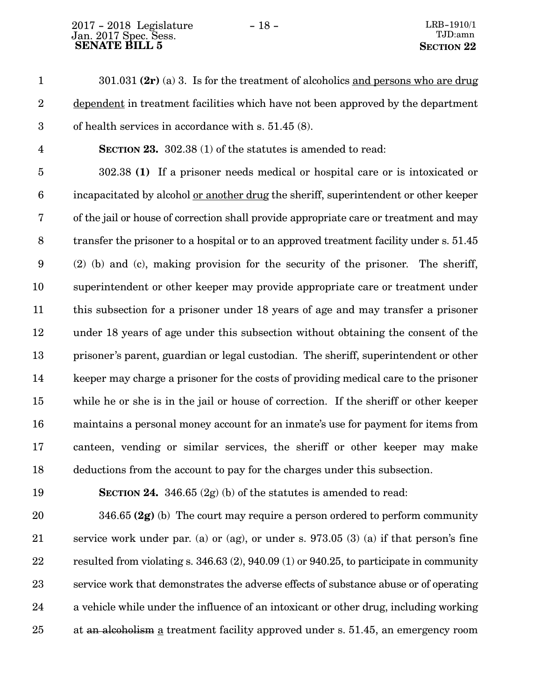301.031 **(2r)** (a) 3. Is for the treatment of alcoholics and persons who are drug dependent in treatment facilities which have not been approved by the department of health services in accordance with s. 51.45 (8). **SECTION 23.** 302.38 (1) of the statutes is amended to read: 302.38 **(1)** If a prisoner needs medical or hospital care or is intoxicated or incapacitated by alcohol or another drug the sheriff, superintendent or other keeper of the jail or house of correction shall provide appropriate care or treatment and may transfer the prisoner to a hospital or to an approved treatment facility under s. 51.45 (2) (b) and (c), making provision for the security of the prisoner. The sheriff, superintendent or other keeper may provide appropriate care or treatment under this subsection for a prisoner under 18 years of age and may transfer a prisoner under 18 years of age under this subsection without obtaining the consent of the prisoner's parent, guardian or legal custodian. The sheriff, superintendent or other keeper may charge a prisoner for the costs of providing medical care to the prisoner while he or she is in the jail or house of correction. If the sheriff or other keeper maintains a personal money account for an inmate's use for payment for items from canteen, vending or similar services, the sheriff or other keeper may make deductions from the account to pay for the charges under this subsection. 1 2 3 4 5 6 7 8 9 10 11 12 13 14 15 16 17 18

19

**SECTION 24.**  $346.65(2g)(b)$  of the statutes is amended to read:

346.65 **(2g)** (b) The court may require a person ordered to perform community service work under par. (a) or (ag), or under s. 973.05 (3) (a) if that person's fine resulted from violating s. 346.63 (2), 940.09 (1) or 940.25, to participate in community service work that demonstrates the adverse effects of substance abuse or of operating a vehicle while under the influence of an intoxicant or other drug, including working at an alcoholism a treatment facility approved under s. 51.45, an emergency room 20 21 22 23 24 25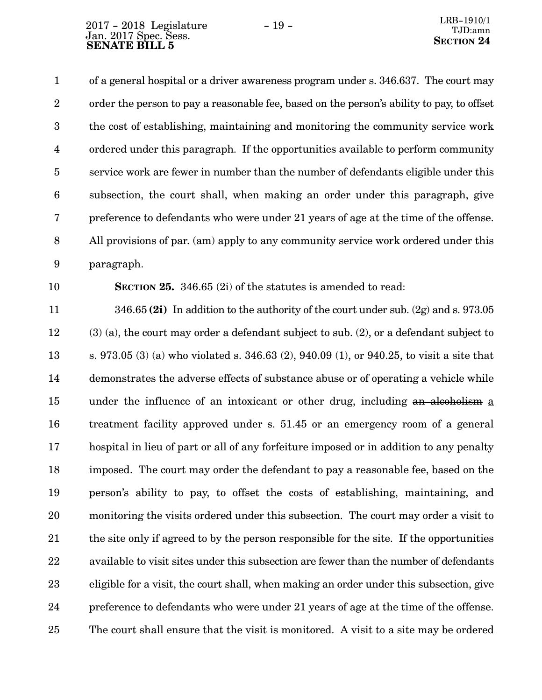of a general hospital or a driver awareness program under s. 346.637. The court may order the person to pay a reasonable fee, based on the person's ability to pay, to offset the cost of establishing, maintaining and monitoring the community service work ordered under this paragraph. If the opportunities available to perform community service work are fewer in number than the number of defendants eligible under this subsection, the court shall, when making an order under this paragraph, give preference to defendants who were under 21 years of age at the time of the offense. All provisions of par. (am) apply to any community service work ordered under this paragraph. 1 2 3 4 5 6 7 8 9

10

**SECTION 25.** 346.65 (2i) of the statutes is amended to read:

346.65 **(2i)** In addition to the authority of the court under sub. (2g) and s. 973.05 (3) (a), the court may order a defendant subject to sub. (2), or a defendant subject to s. 973.05 (3) (a) who violated s. 346.63 (2), 940.09 (1), or 940.25, to visit a site that demonstrates the adverse effects of substance abuse or of operating a vehicle while under the influence of an intoxicant or other drug, including an alcoholism a treatment facility approved under s. 51.45 or an emergency room of a general hospital in lieu of part or all of any forfeiture imposed or in addition to any penalty imposed. The court may order the defendant to pay a reasonable fee, based on the person's ability to pay, to offset the costs of establishing, maintaining, and monitoring the visits ordered under this subsection. The court may order a visit to the site only if agreed to by the person responsible for the site. If the opportunities available to visit sites under this subsection are fewer than the number of defendants eligible for a visit, the court shall, when making an order under this subsection, give preference to defendants who were under 21 years of age at the time of the offense. The court shall ensure that the visit is monitored. A visit to a site may be ordered 11 12 13 14 15 16 17 18 19 20 21 22 23 24 25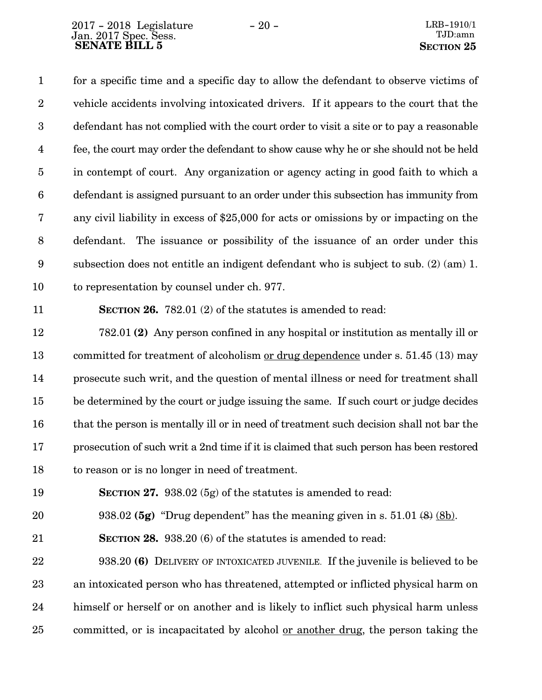for a specific time and a specific day to allow the defendant to observe victims of vehicle accidents involving intoxicated drivers. If it appears to the court that the defendant has not complied with the court order to visit a site or to pay a reasonable fee, the court may order the defendant to show cause why he or she should not be held in contempt of court. Any organization or agency acting in good faith to which a defendant is assigned pursuant to an order under this subsection has immunity from any civil liability in excess of \$25,000 for acts or omissions by or impacting on the defendant. The issuance or possibility of the issuance of an order under this subsection does not entitle an indigent defendant who is subject to sub. (2) (am) 1. to representation by counsel under ch. 977. 1 2 3 4 5 6 7 8 9 10

11

**SECTION 26.** 782.01 (2) of the statutes is amended to read:

782.01 **(2)** Any person confined in any hospital or institution as mentally ill or committed for treatment of alcoholism or drug dependence under s. 51.45 (13) may prosecute such writ, and the question of mental illness or need for treatment shall be determined by the court or judge issuing the same. If such court or judge decides that the person is mentally ill or in need of treatment such decision shall not bar the prosecution of such writ a 2nd time if it is claimed that such person has been restored to reason or is no longer in need of treatment. 12 13 14 15 16 17 18

**SECTION 27.** 938.02 (5g) of the statutes is amended to read: 19

938.02 **(5g)** "Drug dependent" has the meaning given in s. 51.01 (8) (8b). 20

**SECTION 28.** 938.20 (6) of the statutes is amended to read: 21

938.20 **(6)** DELIVERY OF INTOXICATED JUVENILE. If the juvenile is believed to be an intoxicated person who has threatened, attempted or inflicted physical harm on himself or herself or on another and is likely to inflict such physical harm unless committed, or is incapacitated by alcohol or another drug, the person taking the 22 23 24 25